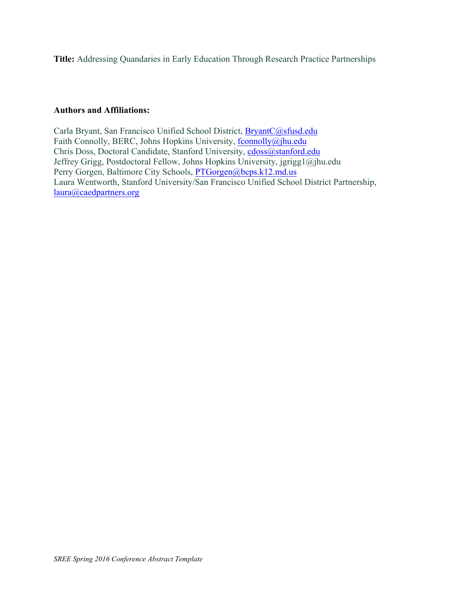**Title:** Addressing Quandaries in Early Education Through Research Practice Partnerships

## **Authors and Affiliations:**

Carla Bryant, San Francisco Unified School District, BryantC@sfusd.edu Faith Connolly, BERC, Johns Hopkins University, fconnolly@jhu.edu Chris Doss, Doctoral Candidate, Stanford University, cdoss@stanford.edu Jeffrey Grigg, Postdoctoral Fellow, Johns Hopkins University, jgrigg1@jhu.edu Perry Gorgen, Baltimore City Schools, PTGorgen@bcps.k12.md.us Laura Wentworth, Stanford University/San Francisco Unified School District Partnership, laura@caedpartners.org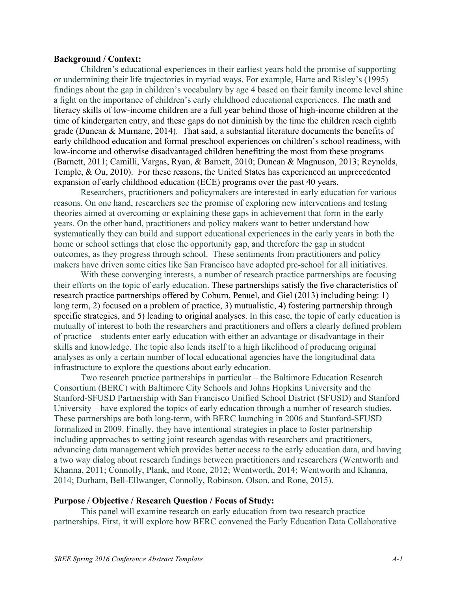#### **Background / Context:**

Children's educational experiences in their earliest years hold the promise of supporting or undermining their life trajectories in myriad ways. For example, Harte and Risley's (1995) findings about the gap in children's vocabulary by age 4 based on their family income level shine a light on the importance of children's early childhood educational experiences. The math and literacy skills of low-income children are a full year behind those of high-income children at the time of kindergarten entry, and these gaps do not diminish by the time the children reach eighth grade (Duncan & Murnane, 2014). That said, a substantial literature documents the benefits of early childhood education and formal preschool experiences on children's school readiness, with low-income and otherwise disadvantaged children benefitting the most from these programs (Barnett, 2011; Camilli, Vargas, Ryan, & Barnett, 2010; Duncan & Magnuson, 2013; Reynolds, Temple, & Ou, 2010). For these reasons, the United States has experienced an unprecedented expansion of early childhood education (ECE) programs over the past 40 years.

Researchers, practitioners and policymakers are interested in early education for various reasons. On one hand, researchers see the promise of exploring new interventions and testing theories aimed at overcoming or explaining these gaps in achievement that form in the early years. On the other hand, practitioners and policy makers want to better understand how systematically they can build and support educational experiences in the early years in both the home or school settings that close the opportunity gap, and therefore the gap in student outcomes, as they progress through school. These sentiments from practitioners and policy makers have driven some cities like San Francisco have adopted pre-school for all initiatives.

With these converging interests, a number of research practice partnerships are focusing their efforts on the topic of early education. These partnerships satisfy the five characteristics of research practice partnerships offered by Coburn, Penuel, and Giel (2013) including being: 1) long term, 2) focused on a problem of practice, 3) mutualistic, 4) fostering partnership through specific strategies, and 5) leading to original analyses. In this case, the topic of early education is mutually of interest to both the researchers and practitioners and offers a clearly defined problem of practice – students enter early education with either an advantage or disadvantage in their skills and knowledge. The topic also lends itself to a high likelihood of producing original analyses as only a certain number of local educational agencies have the longitudinal data infrastructure to explore the questions about early education.

Two research practice partnerships in particular – the Baltimore Education Research Consortium (BERC) with Baltimore City Schools and Johns Hopkins University and the Stanford-SFUSD Partnership with San Francisco Unified School District (SFUSD) and Stanford University – have explored the topics of early education through a number of research studies. These partnerships are both long-term, with BERC launching in 2006 and Stanford-SFUSD formalized in 2009. Finally, they have intentional strategies in place to foster partnership including approaches to setting joint research agendas with researchers and practitioners, advancing data management which provides better access to the early education data, and having a two way dialog about research findings between practitioners and researchers (Wentworth and Khanna, 2011; Connolly, Plank, and Rone, 2012; Wentworth, 2014; Wentworth and Khanna, 2014; Durham, Bell-Ellwanger, Connolly, Robinson, Olson, and Rone, 2015).

### **Purpose / Objective / Research Question / Focus of Study:**

This panel will examine research on early education from two research practice partnerships. First, it will explore how BERC convened the Early Education Data Collaborative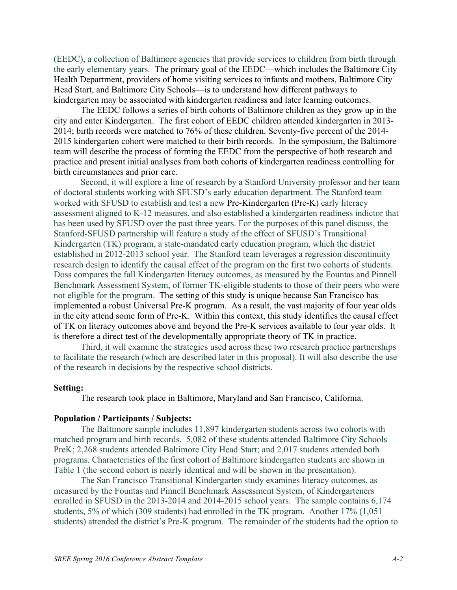(EEDC), a collection of Baltimore agencies that provide services to children from birth through the early elementary years. The primary goal of the EEDC—which includes the Baltimore City Health Department, providers of home visiting services to infants and mothers, Baltimore City Head Start, and Baltimore City Schools—is to understand how different pathways to kindergarten may be associated with kindergarten readiness and later learning outcomes.

The EEDC follows a series of birth cohorts of Baltimore children as they grow up in the city and enter Kindergarten. The first cohort of EEDC children attended kindergarten in 2013- 2014; birth records were matched to 76% of these children. Seventy-five percent of the 2014- 2015 kindergarten cohort were matched to their birth records. In the symposium, the Baltimore team will describe the process of forming the EEDC from the perspective of both research and practice and present initial analyses from both cohorts of kindergarten readiness controlling for birth circumstances and prior care.

Second, it will explore a line of research by a Stanford University professor and her team of doctoral students working with SFUSD's early education department. The Stanford team worked with SFUSD to establish and test a new Pre-Kindergarten (Pre-K) early literacy assessment aligned to K-12 measures, and also established a kindergarten readiness indictor that has been used by SFUSD over the past three years. For the purposes of this panel discuss, the Stanford-SFUSD partnership will feature a study of the effect of SFUSD's Transitional Kindergarten (TK) program, a state-mandated early education program, which the district established in 2012-2013 school year. The Stanford team leverages a regression discontinuity research design to identify the causal effect of the program on the first two cohorts of students. Doss compares the fall Kindergarten literacy outcomes, as measured by the Fountas and Pinnell Benchmark Assessment System, of former TK-eligible students to those of their peers who were not eligible for the program. The setting of this study is unique because San Francisco has implemented a robust Universal Pre-K program. As a result, the vast majority of four year olds in the city attend some form of Pre-K. Within this context, this study identifies the causal effect of TK on literacy outcomes above and beyond the Pre-K services available to four year olds. It is therefore a direct test of the developmentally appropriate theory of TK in practice.

Third, it will examine the strategies used across these two research practice partnerships to facilitate the research (which are described later in this proposal). It will also describe the use of the research in decisions by the respective school districts.

#### **Setting:**

The research took place in Baltimore, Maryland and San Francisco, California.

#### **Population / Participants / Subjects:**

The Baltimore sample includes 11,897 kindergarten students across two cohorts with matched program and birth records. 5,082 of these students attended Baltimore City Schools PreK; 2,268 students attended Baltimore City Head Start; and 2,017 students attended both programs. Characteristics of the first cohort of Baltimore kindergarten students are shown in Table 1 (the second cohort is nearly identical and will be shown in the presentation).

The San Francisco Transitional Kindergarten study examines literacy outcomes, as measured by the Fountas and Pinnell Benchmark Assessment System, of Kindergarteners enrolled in SFUSD in the 2013-2014 and 2014-2015 school years. The sample contains 6,174 students, 5% of which (309 students) had enrolled in the TK program. Another 17% (1,051 students) attended the district's Pre-K program. The remainder of the students had the option to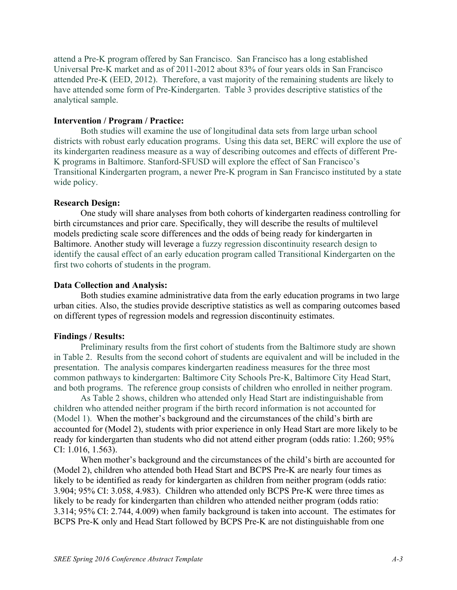attend a Pre-K program offered by San Francisco. San Francisco has a long established Universal Pre-K market and as of 2011-2012 about 83% of four years olds in San Francisco attended Pre-K (EED, 2012). Therefore, a vast majority of the remaining students are likely to have attended some form of Pre-Kindergarten. Table 3 provides descriptive statistics of the analytical sample.

## **Intervention / Program / Practice:**

Both studies will examine the use of longitudinal data sets from large urban school districts with robust early education programs. Using this data set, BERC will explore the use of its kindergarten readiness measure as a way of describing outcomes and effects of different Pre-K programs in Baltimore. Stanford-SFUSD will explore the effect of San Francisco's Transitional Kindergarten program, a newer Pre-K program in San Francisco instituted by a state wide policy.

## **Research Design:**

One study will share analyses from both cohorts of kindergarten readiness controlling for birth circumstances and prior care. Specifically, they will describe the results of multilevel models predicting scale score differences and the odds of being ready for kindergarten in Baltimore. Another study will leverage a fuzzy regression discontinuity research design to identify the causal effect of an early education program called Transitional Kindergarten on the first two cohorts of students in the program.

### **Data Collection and Analysis:**

Both studies examine administrative data from the early education programs in two large urban cities. Also, the studies provide descriptive statistics as well as comparing outcomes based on different types of regression models and regression discontinuity estimates.

## **Findings / Results:**

Preliminary results from the first cohort of students from the Baltimore study are shown in Table 2. Results from the second cohort of students are equivalent and will be included in the presentation. The analysis compares kindergarten readiness measures for the three most common pathways to kindergarten: Baltimore City Schools Pre-K, Baltimore City Head Start, and both programs. The reference group consists of children who enrolled in neither program.

As Table 2 shows, children who attended only Head Start are indistinguishable from children who attended neither program if the birth record information is not accounted for (Model 1). When the mother's background and the circumstances of the child's birth are accounted for (Model 2), students with prior experience in only Head Start are more likely to be ready for kindergarten than students who did not attend either program (odds ratio: 1.260; 95% CI: 1.016, 1.563).

When mother's background and the circumstances of the child's birth are accounted for (Model 2), children who attended both Head Start and BCPS Pre-K are nearly four times as likely to be identified as ready for kindergarten as children from neither program (odds ratio: 3.904; 95% CI: 3.058, 4.983). Children who attended only BCPS Pre-K were three times as likely to be ready for kindergarten than children who attended neither program (odds ratio: 3.314; 95% CI: 2.744, 4.009) when family background is taken into account. The estimates for BCPS Pre-K only and Head Start followed by BCPS Pre-K are not distinguishable from one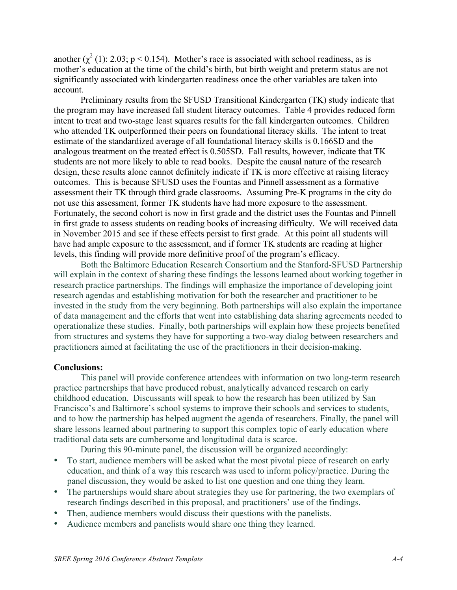another  $(\chi^2(1))$ : 2.03; p < 0.154). Mother's race is associated with school readiness, as is mother's education at the time of the child's birth, but birth weight and preterm status are not significantly associated with kindergarten readiness once the other variables are taken into account.

Preliminary results from the SFUSD Transitional Kindergarten (TK) study indicate that the program may have increased fall student literacy outcomes. Table 4 provides reduced form intent to treat and two-stage least squares results for the fall kindergarten outcomes. Children who attended TK outperformed their peers on foundational literacy skills. The intent to treat estimate of the standardized average of all foundational literacy skills is 0.166SD and the analogous treatment on the treated effect is 0.505SD. Fall results, however, indicate that TK students are not more likely to able to read books. Despite the causal nature of the research design, these results alone cannot definitely indicate if TK is more effective at raising literacy outcomes. This is because SFUSD uses the Fountas and Pinnell assessment as a formative assessment their TK through third grade classrooms. Assuming Pre-K programs in the city do not use this assessment, former TK students have had more exposure to the assessment. Fortunately, the second cohort is now in first grade and the district uses the Fountas and Pinnell in first grade to assess students on reading books of increasing difficulty. We will received data in November 2015 and see if these effects persist to first grade. At this point all students will have had ample exposure to the assessment, and if former TK students are reading at higher levels, this finding will provide more definitive proof of the program's efficacy.

Both the Baltimore Education Research Consortium and the Stanford-SFUSD Partnership will explain in the context of sharing these findings the lessons learned about working together in research practice partnerships. The findings will emphasize the importance of developing joint research agendas and establishing motivation for both the researcher and practitioner to be invested in the study from the very beginning. Both partnerships will also explain the importance of data management and the efforts that went into establishing data sharing agreements needed to operationalize these studies. Finally, both partnerships will explain how these projects benefited from structures and systems they have for supporting a two-way dialog between researchers and practitioners aimed at facilitating the use of the practitioners in their decision-making.

#### **Conclusions:**

This panel will provide conference attendees with information on two long-term research practice partnerships that have produced robust, analytically advanced research on early childhood education. Discussants will speak to how the research has been utilized by San Francisco's and Baltimore's school systems to improve their schools and services to students, and to how the partnership has helped augment the agenda of researchers. Finally, the panel will share lessons learned about partnering to support this complex topic of early education where traditional data sets are cumbersome and longitudinal data is scarce.

During this 90-minute panel, the discussion will be organized accordingly:

- To start, audience members will be asked what the most pivotal piece of research on early education, and think of a way this research was used to inform policy/practice. During the panel discussion, they would be asked to list one question and one thing they learn.
- The partnerships would share about strategies they use for partnering, the two exemplars of research findings described in this proposal, and practitioners' use of the findings.
- Then, audience members would discuss their questions with the panelists.
- Audience members and panelists would share one thing they learned.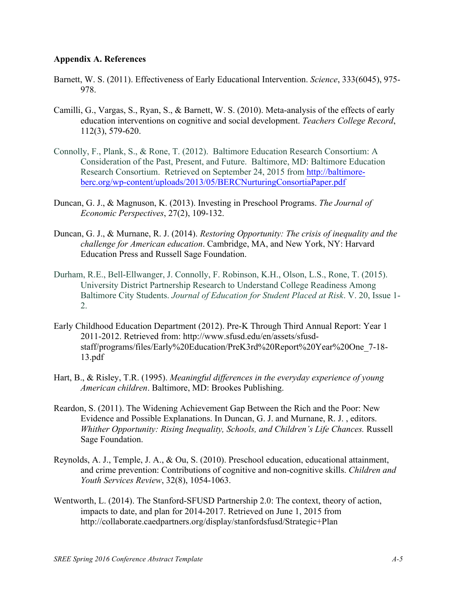# **Appendix A. References**

- Barnett, W. S. (2011). Effectiveness of Early Educational Intervention. *Science*, 333(6045), 975- 978.
- Camilli, G., Vargas, S., Ryan, S., & Barnett, W. S. (2010). Meta-analysis of the effects of early education interventions on cognitive and social development. *Teachers College Record*, 112(3), 579-620.
- Connolly, F., Plank, S., & Rone, T. (2012). Baltimore Education Research Consortium: A Consideration of the Past, Present, and Future. Baltimore, MD: Baltimore Education Research Consortium. Retrieved on September 24, 2015 from http://baltimoreberc.org/wp-content/uploads/2013/05/BERCNurturingConsortiaPaper.pdf
- Duncan, G. J., & Magnuson, K. (2013). Investing in Preschool Programs. *The Journal of Economic Perspectives*, 27(2), 109-132.
- Duncan, G. J., & Murnane, R. J. (2014). *Restoring Opportunity: The crisis of inequality and the challenge for American education*. Cambridge, MA, and New York, NY: Harvard Education Press and Russell Sage Foundation.
- Durham, R.E., Bell-Ellwanger, J. Connolly, F. Robinson, K.H., Olson, L.S., Rone, T. (2015). University District Partnership Research to Understand College Readiness Among Baltimore City Students. *Journal of Education for Student Placed at Risk*. V. 20, Issue 1- 2.
- Early Childhood Education Department (2012). Pre-K Through Third Annual Report: Year 1 2011-2012. Retrieved from: http://www.sfusd.edu/en/assets/sfusdstaff/programs/files/Early%20Education/PreK3rd%20Report%20Year%20One\_7-18- 13.pdf
- Hart, B., & Risley, T.R. (1995). *Meaningful differences in the everyday experience of young American children*. Baltimore, MD: Brookes Publishing.
- Reardon, S. (2011). The Widening Achievement Gap Between the Rich and the Poor: New Evidence and Possible Explanations. In Duncan, G. J. and Murnane, R. J. , editors. *Whither Opportunity: Rising Inequality, Schools, and Children's Life Chances.* Russell Sage Foundation.
- Reynolds, A. J., Temple, J. A., & Ou, S. (2010). Preschool education, educational attainment, and crime prevention: Contributions of cognitive and non-cognitive skills. *Children and Youth Services Review*, 32(8), 1054-1063.
- Wentworth, L. (2014). The Stanford-SFUSD Partnership 2.0: The context, theory of action, impacts to date, and plan for 2014-2017. Retrieved on June 1, 2015 from http://collaborate.caedpartners.org/display/stanfordsfusd/Strategic+Plan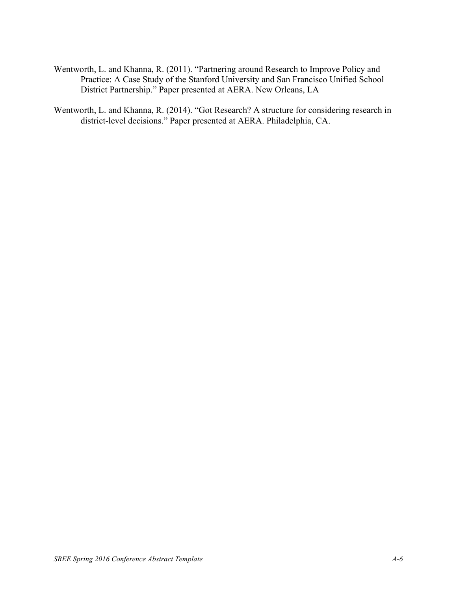- Wentworth, L. and Khanna, R. (2011). "Partnering around Research to Improve Policy and Practice: A Case Study of the Stanford University and San Francisco Unified School District Partnership." Paper presented at AERA. New Orleans, LA
- Wentworth, L. and Khanna, R. (2014). "Got Research? A structure for considering research in district-level decisions." Paper presented at AERA. Philadelphia, CA.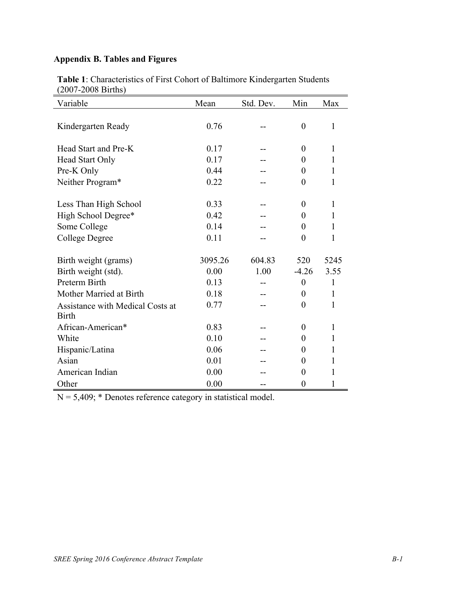# **Appendix B. Tables and Figures**

| (2007, 2000, 2000)<br>Variable   | Mean    | Std. Dev. | Min              | Max          |
|----------------------------------|---------|-----------|------------------|--------------|
|                                  |         |           |                  |              |
| Kindergarten Ready               | 0.76    |           | $\boldsymbol{0}$ | $\mathbf{1}$ |
|                                  |         |           |                  |              |
| Head Start and Pre-K             | 0.17    |           | $\overline{0}$   | 1            |
| <b>Head Start Only</b>           | 0.17    |           | $\theta$         | 1            |
| Pre-K Only                       | 0.44    |           | $\theta$         | 1            |
| Neither Program*                 | 0.22    |           | $\theta$         | 1            |
|                                  |         |           |                  |              |
| Less Than High School            | 0.33    |           | $\theta$         | $\mathbf{1}$ |
| High School Degree*              | 0.42    |           | $\theta$         | 1            |
| Some College                     | 0.14    |           | $\theta$         | 1            |
| College Degree                   | 0.11    |           | $\theta$         | 1            |
|                                  |         |           |                  |              |
| Birth weight (grams)             | 3095.26 | 604.83    | 520              | 5245         |
| Birth weight (std).              | 0.00    | 1.00      | $-4.26$          | 3.55         |
| Preterm Birth                    | 0.13    |           | $\overline{0}$   | 1            |
| Mother Married at Birth          | 0.18    |           | $\overline{0}$   | 1            |
| Assistance with Medical Costs at | 0.77    |           | $\overline{0}$   | $\mathbf{1}$ |
| <b>Birth</b>                     |         |           |                  |              |
| African-American*                | 0.83    |           | $\overline{0}$   | $\mathbf{1}$ |
| White                            | 0.10    |           | $\theta$         | $\mathbf{1}$ |
| Hispanic/Latina                  | 0.06    |           | $\theta$         | 1            |
| Asian                            | 0.01    |           | $\overline{0}$   | 1            |
| American Indian                  | 0.00    |           | $\theta$         | 1            |
| Other                            | 0.00    |           | $\overline{0}$   | 1            |

**Table 1**: Characteristics of First Cohort of Baltimore Kindergarten Students (2007-2008 Births)

 $N = 5,409$ ; \* Denotes reference category in statistical model.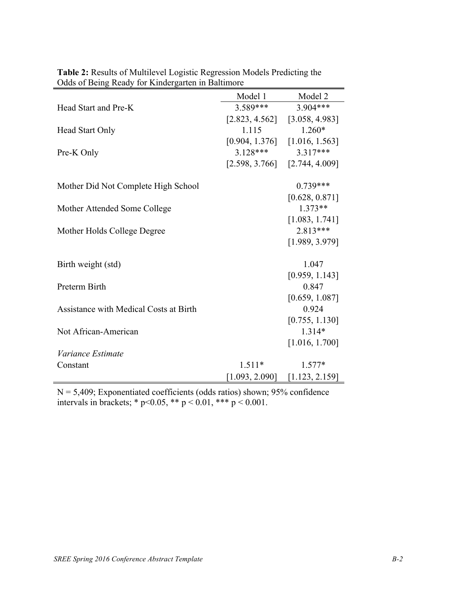|                                        | Model 1              | Model 2                     |  |
|----------------------------------------|----------------------|-----------------------------|--|
| Head Start and Pre-K                   | 3.589***             | $3.904***$                  |  |
|                                        | [2.823, 4.562]       | [3.058, 4.983]              |  |
| <b>Head Start Only</b>                 | 1.115                | $1.260*$                    |  |
|                                        | [0.904, 1.376]       | [1.016, 1.563]              |  |
| Pre-K Only                             | $3.128***$           | $3.317***$                  |  |
|                                        | [2.598, 3.766]       | [2.744, 4.009]              |  |
| Mother Did Not Complete High School    |                      | $0.739***$                  |  |
| Mother Attended Some College           |                      | [0.628, 0.871]<br>$1.373**$ |  |
|                                        |                      | [1.083, 1.741]              |  |
| Mother Holds College Degree            |                      | $2.813***$                  |  |
|                                        |                      | [1.989, 3.979]              |  |
| Birth weight (std)                     |                      | 1.047                       |  |
|                                        |                      | [0.959, 1.143]              |  |
| Preterm Birth                          |                      | 0.847                       |  |
|                                        |                      | [0.659, 1.087]              |  |
| Assistance with Medical Costs at Birth |                      | 0.924                       |  |
|                                        |                      | [0.755, 1.130]              |  |
| Not African-American                   |                      | 1.314*                      |  |
|                                        |                      | [1.016, 1.700]              |  |
| Variance Estimate                      |                      |                             |  |
| Constant                               | $1.577*$<br>$1.511*$ |                             |  |
|                                        | [1.093, 2.090]       | [1.123, 2.159]              |  |

|  | <b>Table 2:</b> Results of Multilevel Logistic Regression Models Predicting the |
|--|---------------------------------------------------------------------------------|
|  | Odds of Being Ready for Kindergarten in Baltimore                               |

 $N = 5,409$ ; Exponentiated coefficients (odds ratios) shown; 95% confidence intervals in brackets; \*  $p<0.05$ , \*\*  $p < 0.01$ , \*\*\*  $p < 0.001$ .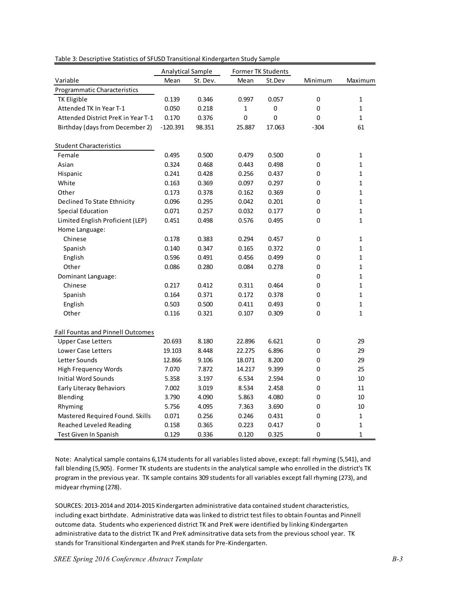|                                          | Analytical Sample |          |              | Former TK Students |                  |              |
|------------------------------------------|-------------------|----------|--------------|--------------------|------------------|--------------|
| Variable                                 | Mean              | St. Dev. | Mean         | St.Dev             | Minimum          | Maximum      |
| Programmatic Characteristics             |                   |          |              |                    |                  |              |
| <b>TK Eligible</b>                       | 0.139             | 0.346    | 0.997        | 0.057              | $\boldsymbol{0}$ | 1            |
| Attended TK In Year T-1                  | 0.050             | 0.218    | $\mathbf{1}$ | $\pmb{0}$          | 0                | $\mathbf 1$  |
| Attended District PreK in Year T-1       | 0.170             | 0.376    | $\mathbf 0$  | 0                  | $\mathbf 0$      | $\mathbf 1$  |
| Birthday (days from December 2)          | $-120.391$        | 98.351   | 25.887       | 17.063             | $-304$           | 61           |
| <b>Student Characteristics</b>           |                   |          |              |                    |                  |              |
| Female                                   | 0.495             | 0.500    | 0.479        | 0.500              | 0                | 1            |
| Asian                                    | 0.324             | 0.468    | 0.443        | 0.498              | 0                | $\mathbf{1}$ |
| Hispanic                                 | 0.241             | 0.428    | 0.256        | 0.437              | 0                | $\mathbf 1$  |
| White                                    | 0.163             | 0.369    | 0.097        | 0.297              | 0                | $\mathbf 1$  |
| Other                                    | 0.173             | 0.378    | 0.162        | 0.369              | 0                | $\mathbf 1$  |
| Declined To State Ethnicity              | 0.096             | 0.295    | 0.042        | 0.201              | 0                | $\mathbf 1$  |
| <b>Special Education</b>                 | 0.071             | 0.257    | 0.032        | 0.177              | 0                | 1            |
| Limited English Proficient (LEP)         | 0.451             | 0.498    | 0.576        | 0.495              | 0                | $\mathbf 1$  |
| Home Language:                           |                   |          |              |                    |                  |              |
| Chinese                                  | 0.178             | 0.383    | 0.294        | 0.457              | 0                | 1            |
| Spanish                                  | 0.140             | 0.347    | 0.165        | 0.372              | 0                | $\mathbf 1$  |
| English                                  | 0.596             | 0.491    | 0.456        | 0.499              | 0                | 1            |
| Other                                    | 0.086             | 0.280    | 0.084        | 0.278              | 0                | $\mathbf 1$  |
| Dominant Language:                       |                   |          |              |                    | 0                | $\mathbf{1}$ |
| Chinese                                  | 0.217             | 0.412    | 0.311        | 0.464              | 0                | $\mathbf{1}$ |
| Spanish                                  | 0.164             | 0.371    | 0.172        | 0.378              | 0                | $\mathbf{1}$ |
| English                                  | 0.503             | 0.500    | 0.411        | 0.493              | 0                | $\mathbf 1$  |
| Other                                    | 0.116             | 0.321    | 0.107        | 0.309              | 0                | $\mathbf 1$  |
| <b>Fall Fountas and Pinnell Outcomes</b> |                   |          |              |                    |                  |              |
| <b>Upper Case Letters</b>                | 20.693            | 8.180    | 22.896       | 6.621              | $\mathbf 0$      | 29           |
| Lower Case Letters                       | 19.103            | 8.448    | 22.275       | 6.896              | 0                | 29           |
| Letter Sounds                            | 12.866            | 9.106    | 18.071       | 8.200              | 0                | 29           |
| High Frequency Words                     | 7.070             | 7.872    | 14.217       | 9.399              | 0                | 25           |
| <b>Initial Word Sounds</b>               | 5.358             | 3.197    | 6.534        | 2.594              | 0                | 10           |
| Early Literacy Behaviors                 | 7.002             | 3.019    | 8.534        | 2.458              | 0                | 11           |
| Blending                                 | 3.790             | 4.090    | 5.863        | 4.080              | 0                | 10           |
| Rhyming                                  | 5.756             | 4.095    | 7.363        | 3.690              | $\mathbf 0$      | 10           |
| Mastered Required Found. Skills          | 0.071             | 0.256    | 0.246        | 0.431              | 0                | 1            |
| Reached Leveled Reading                  | 0.158             | 0.365    | 0.223        | 0.417              | 0                | $\mathbf 1$  |
| Test Given In Spanish                    | 0.129             | 0.336    | 0.120        | 0.325              | 0                | $\mathbf{1}$ |

Table 3: Descriptive Statistics of SFUSD Transitional Kindergarten Study Sample

Note: Analytical sample contains 6,174 students for all variables listed above, except: fall rhyming (5,541), and fall blending (5,905). Former TK students are students in the analytical sample who enrolled in the district's TK program in the previous year. TK sample contains 309 students for all variables except fall rhyming (273), and midyear rhyming (278).

SOURCES: 2013-2014 and 2014-2015 Kindergarten administrative data contained student characteristics, including exact birthdate. Administrative data was linked to district test files to obtain Fountas and Pinnell outcome data. Students who experienced district TK and PreK were identified by linking Kindergarten administrative data to the district TK and PreK adminsitrative data sets from the previous school year. TK stands for Transitional Kindergarten and PreK stands for Pre-Kindergarten.